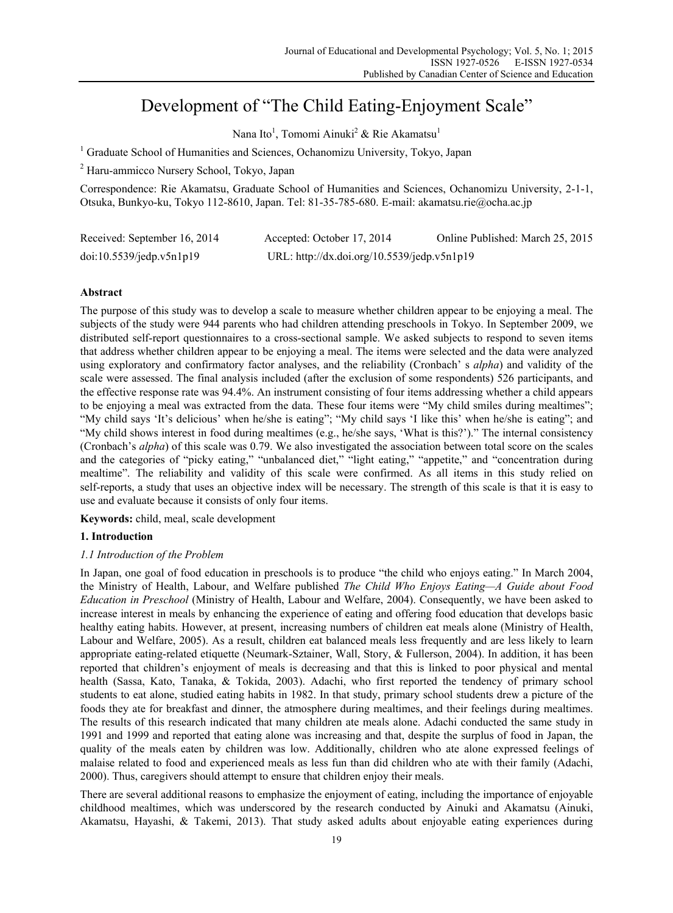# Development of "The Child Eating-Enjoyment Scale"

Nana Ito<sup>1</sup>, Tomomi Ainuki<sup>2</sup> & Rie Akamatsu<sup>1</sup>

<sup>1</sup> Graduate School of Humanities and Sciences, Ochanomizu University, Tokyo, Japan

2 Haru-ammicco Nursery School, Tokyo, Japan

Correspondence: Rie Akamatsu, Graduate School of Humanities and Sciences, Ochanomizu University, 2-1-1, Otsuka, Bunkyo-ku, Tokyo 112-8610, Japan. Tel: 81-35-785-680. E-mail: akamatsu.rie@ocha.ac.jp

| Received: September 16, 2014 | Accepted: October 17, 2014                  | Online Published: March 25, 2015 |
|------------------------------|---------------------------------------------|----------------------------------|
| doi:10.5539/jedp.v5n1p19     | URL: http://dx.doi.org/10.5539/jedp.v5n1p19 |                                  |

## **Abstract**

The purpose of this study was to develop a scale to measure whether children appear to be enjoying a meal. The subjects of the study were 944 parents who had children attending preschools in Tokyo. In September 2009, we distributed self-report questionnaires to a cross-sectional sample. We asked subjects to respond to seven items that address whether children appear to be enjoying a meal. The items were selected and the data were analyzed using exploratory and confirmatory factor analyses, and the reliability (Cronbach' s *alpha*) and validity of the scale were assessed. The final analysis included (after the exclusion of some respondents) 526 participants, and the effective response rate was 94.4%. An instrument consisting of four items addressing whether a child appears to be enjoying a meal was extracted from the data. These four items were "My child smiles during mealtimes"; "My child says 'It's delicious' when he/she is eating"; "My child says 'I like this' when he/she is eating"; and "My child shows interest in food during mealtimes (e.g., he/she says, 'What is this?')." The internal consistency (Cronbach's *alpha*) of this scale was 0.79. We also investigated the association between total score on the scales and the categories of "picky eating," "unbalanced diet," "light eating," "appetite," and "concentration during mealtime". The reliability and validity of this scale were confirmed. As all items in this study relied on self-reports, a study that uses an objective index will be necessary. The strength of this scale is that it is easy to use and evaluate because it consists of only four items.

**Keywords:** child, meal, scale development

# **1. Introduction**

# *1.1 Introduction of the Problem*

In Japan, one goal of food education in preschools is to produce "the child who enjoys eating." In March 2004, the Ministry of Health, Labour, and Welfare published *The Child Who Enjoys Eating—A Guide about Food Education in Preschool* (Ministry of Health, Labour and Welfare, 2004). Consequently, we have been asked to increase interest in meals by enhancing the experience of eating and offering food education that develops basic healthy eating habits. However, at present, increasing numbers of children eat meals alone (Ministry of Health, Labour and Welfare, 2005). As a result, children eat balanced meals less frequently and are less likely to learn appropriate eating-related etiquette (Neumark-Sztainer, Wall, Story, & Fullerson, 2004). In addition, it has been reported that children's enjoyment of meals is decreasing and that this is linked to poor physical and mental health (Sassa, Kato, Tanaka, & Tokida, 2003). Adachi, who first reported the tendency of primary school students to eat alone, studied eating habits in 1982. In that study, primary school students drew a picture of the foods they ate for breakfast and dinner, the atmosphere during mealtimes, and their feelings during mealtimes. The results of this research indicated that many children ate meals alone. Adachi conducted the same study in 1991 and 1999 and reported that eating alone was increasing and that, despite the surplus of food in Japan, the quality of the meals eaten by children was low. Additionally, children who ate alone expressed feelings of malaise related to food and experienced meals as less fun than did children who ate with their family (Adachi, 2000). Thus, caregivers should attempt to ensure that children enjoy their meals.

There are several additional reasons to emphasize the enjoyment of eating, including the importance of enjoyable childhood mealtimes, which was underscored by the research conducted by Ainuki and Akamatsu (Ainuki, Akamatsu, Hayashi, & Takemi, 2013). That study asked adults about enjoyable eating experiences during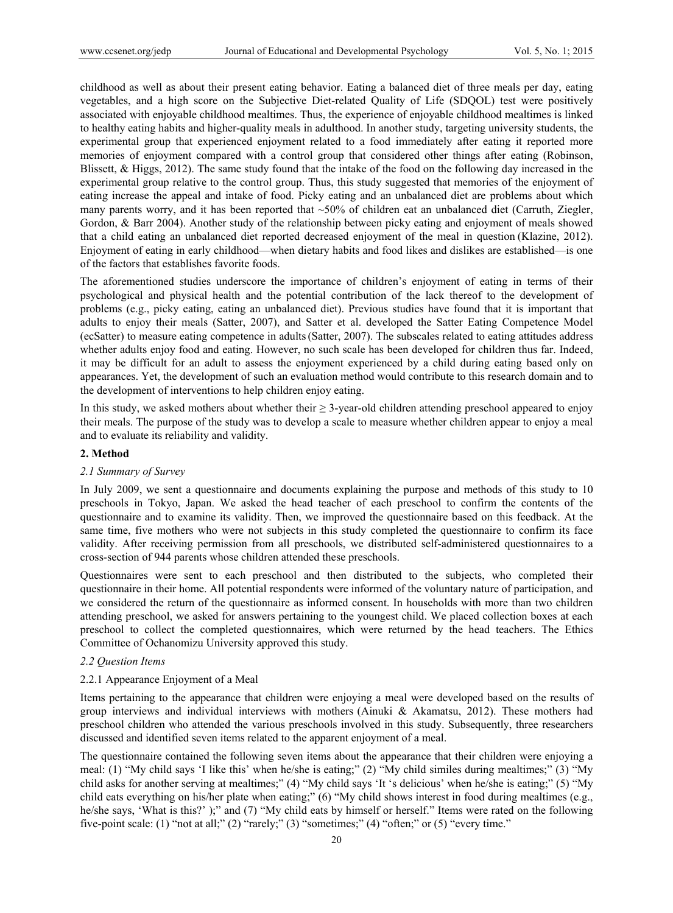childhood as well as about their present eating behavior. Eating a balanced diet of three meals per day, eating vegetables, and a high score on the Subjective Diet-related Quality of Life (SDQOL) test were positively associated with enjoyable childhood mealtimes. Thus, the experience of enjoyable childhood mealtimes is linked to healthy eating habits and higher-quality meals in adulthood. In another study, targeting university students, the experimental group that experienced enjoyment related to a food immediately after eating it reported more memories of enjoyment compared with a control group that considered other things after eating (Robinson, Blissett, & Higgs, 2012). The same study found that the intake of the food on the following day increased in the experimental group relative to the control group. Thus, this study suggested that memories of the enjoyment of eating increase the appeal and intake of food. Picky eating and an unbalanced diet are problems about which many parents worry, and it has been reported that  $\sim 50\%$  of children eat an unbalanced diet (Carruth, Ziegler, Gordon, & Barr 2004). Another study of the relationship between picky eating and enjoyment of meals showed that a child eating an unbalanced diet reported decreased enjoyment of the meal in question (Klazine, 2012). Enjoyment of eating in early childhood—when dietary habits and food likes and dislikes are established—is one of the factors that establishes favorite foods.

The aforementioned studies underscore the importance of children's enjoyment of eating in terms of their psychological and physical health and the potential contribution of the lack thereof to the development of problems (e.g., picky eating, eating an unbalanced diet). Previous studies have found that it is important that adults to enjoy their meals (Satter, 2007), and Satter et al. developed the Satter Eating Competence Model (ecSatter) to measure eating competence in adults(Satter, 2007). The subscales related to eating attitudes address whether adults enjoy food and eating. However, no such scale has been developed for children thus far. Indeed, it may be difficult for an adult to assess the enjoyment experienced by a child during eating based only on appearances. Yet, the development of such an evaluation method would contribute to this research domain and to the development of interventions to help children enjoy eating.

In this study, we asked mothers about whether their ≥ 3-year-old children attending preschool appeared to enjoy their meals. The purpose of the study was to develop a scale to measure whether children appear to enjoy a meal and to evaluate its reliability and validity.

#### **2. Method**

#### *2.1 Summary of Survey*

In July 2009, we sent a questionnaire and documents explaining the purpose and methods of this study to 10 preschools in Tokyo, Japan. We asked the head teacher of each preschool to confirm the contents of the questionnaire and to examine its validity. Then, we improved the questionnaire based on this feedback. At the same time, five mothers who were not subjects in this study completed the questionnaire to confirm its face validity. After receiving permission from all preschools, we distributed self-administered questionnaires to a cross-section of 944 parents whose children attended these preschools.

Questionnaires were sent to each preschool and then distributed to the subjects, who completed their questionnaire in their home. All potential respondents were informed of the voluntary nature of participation, and we considered the return of the questionnaire as informed consent. In households with more than two children attending preschool, we asked for answers pertaining to the youngest child. We placed collection boxes at each preschool to collect the completed questionnaires, which were returned by the head teachers. The Ethics Committee of Ochanomizu University approved this study.

### *2.2 Question Items*

### 2.2.1 Appearance Enjoyment of a Meal

Items pertaining to the appearance that children were enjoying a meal were developed based on the results of group interviews and individual interviews with mothers (Ainuki & Akamatsu, 2012). These mothers had preschool children who attended the various preschools involved in this study. Subsequently, three researchers discussed and identified seven items related to the apparent enjoyment of a meal.

The questionnaire contained the following seven items about the appearance that their children were enjoying a meal: (1) "My child says 'I like this' when he/she is eating;" (2) "My child similes during mealtimes;" (3) "My child asks for another serving at mealtimes;" (4) "My child says 'It 's delicious' when he/she is eating;" (5) "My child eats everything on his/her plate when eating;" (6) "My child shows interest in food during mealtimes (e.g., he/she says, 'What is this?' );" and (7) "My child eats by himself or herself." Items were rated on the following five-point scale: (1) "not at all;" (2) "rarely;" (3) "sometimes;" (4) "often;" or (5) "every time."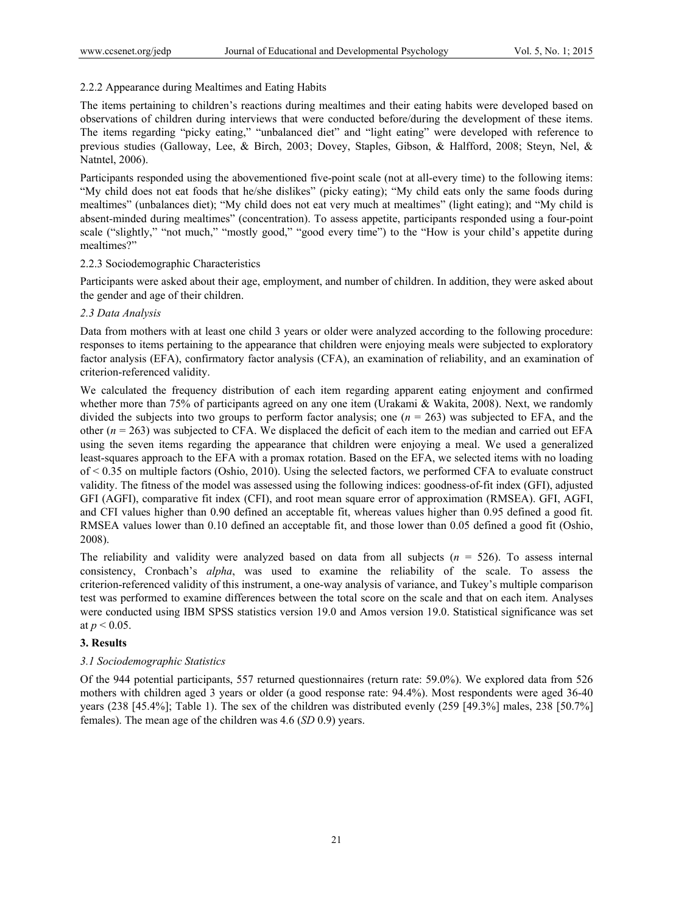# 2.2.2 Appearance during Mealtimes and Eating Habits

The items pertaining to children's reactions during mealtimes and their eating habits were developed based on observations of children during interviews that were conducted before/during the development of these items. The items regarding "picky eating," "unbalanced diet" and "light eating" were developed with reference to previous studies (Galloway, Lee, & Birch, 2003; Dovey, Staples, Gibson, & Halfford, 2008; Steyn, Nel, & Natntel, 2006).

Participants responded using the abovementioned five-point scale (not at all-every time) to the following items: "My child does not eat foods that he/she dislikes" (picky eating); "My child eats only the same foods during mealtimes" (unbalances diet); "My child does not eat very much at mealtimes" (light eating); and "My child is absent-minded during mealtimes" (concentration). To assess appetite, participants responded using a four-point scale ("slightly," "not much," "mostly good," "good every time") to the "How is your child's appetite during mealtimes?"

## 2.2.3 Sociodemographic Characteristics

Participants were asked about their age, employment, and number of children. In addition, they were asked about the gender and age of their children.

## *2.3 Data Analysis*

Data from mothers with at least one child 3 years or older were analyzed according to the following procedure: responses to items pertaining to the appearance that children were enjoying meals were subjected to exploratory factor analysis (EFA), confirmatory factor analysis (CFA), an examination of reliability, and an examination of criterion-referenced validity.

We calculated the frequency distribution of each item regarding apparent eating enjoyment and confirmed whether more than 75% of participants agreed on any one item (Urakami & Wakita, 2008). Next, we randomly divided the subjects into two groups to perform factor analysis; one (*n* = 263) was subjected to EFA, and the other  $(n = 263)$  was subjected to CFA. We displaced the deficit of each item to the median and carried out EFA using the seven items regarding the appearance that children were enjoying a meal. We used a generalized least-squares approach to the EFA with a promax rotation. Based on the EFA, we selected items with no loading of < 0.35 on multiple factors (Oshio, 2010). Using the selected factors, we performed CFA to evaluate construct validity. The fitness of the model was assessed using the following indices: goodness-of-fit index (GFI), adjusted GFI (AGFI), comparative fit index (CFI), and root mean square error of approximation (RMSEA). GFI, AGFI, and CFI values higher than 0.90 defined an acceptable fit, whereas values higher than 0.95 defined a good fit. RMSEA values lower than 0.10 defined an acceptable fit, and those lower than 0.05 defined a good fit (Oshio, 2008).

The reliability and validity were analyzed based on data from all subjects  $(n = 526)$ . To assess internal consistency, Cronbach's *alpha*, was used to examine the reliability of the scale. To assess the criterion-referenced validity of this instrument, a one-way analysis of variance, and Tukey's multiple comparison test was performed to examine differences between the total score on the scale and that on each item. Analyses were conducted using IBM SPSS statistics version 19.0 and Amos version 19.0. Statistical significance was set at  $p < 0.05$ .

## **3. Results**

## *3.1 Sociodemographic Statistics*

Of the 944 potential participants, 557 returned questionnaires (return rate: 59.0%). We explored data from 526 mothers with children aged 3 years or older (a good response rate: 94.4%). Most respondents were aged 36-40 years (238 [45.4%]; Table 1). The sex of the children was distributed evenly (259 [49.3%] males, 238 [50.7%] females). The mean age of the children was 4.6 (*SD* 0.9) years.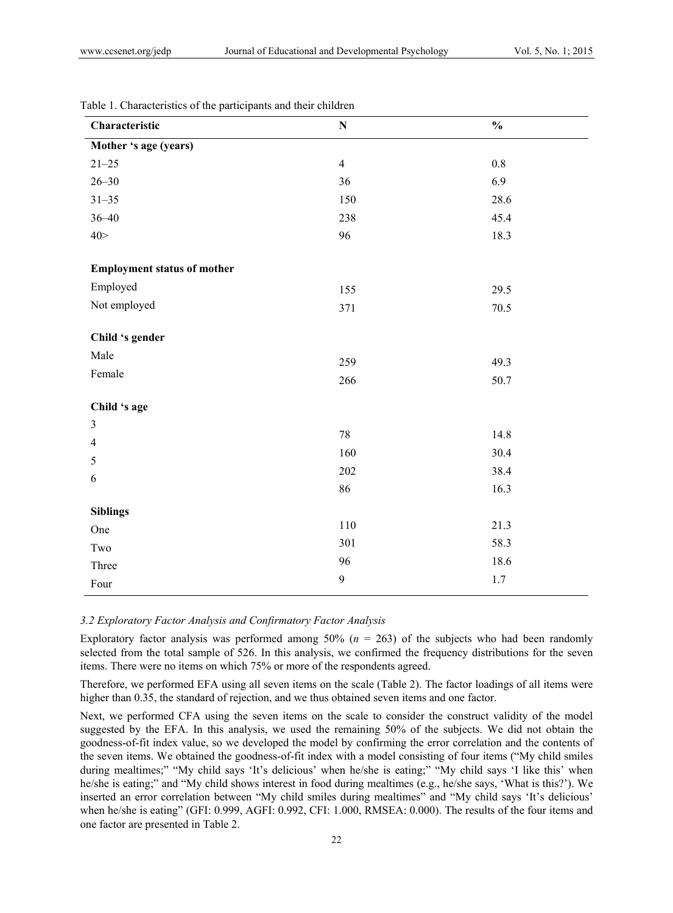| Characteristic                     | ${\bf N}$      | $\frac{0}{0}$ |
|------------------------------------|----------------|---------------|
| Mother 's age (years)              |                |               |
| $21 - 25$                          | $\overline{4}$ | $0.8\,$       |
| $26 - 30$                          | 36             | 6.9           |
| $31 - 35$                          | 150            | 28.6          |
| $36 - 40$                          | 238            | 45.4          |
| 40 >                               | 96             | 18.3          |
| <b>Employment status of mother</b> |                |               |
| Employed                           | 155            | 29.5          |
| Not employed                       | 371            | 70.5          |
| Child 's gender                    |                |               |
| Male                               | 259            | 49.3          |
| Female                             | 266            | 50.7          |
| Child 's age                       |                |               |
| $\overline{3}$                     | $78\,$         | 14.8          |
| $\overline{4}$                     |                | 30.4          |
| $\mathfrak s$                      | 160            |               |
| 6                                  | 202            | 38.4          |
|                                    | 86             | 16.3          |
| <b>Siblings</b>                    |                |               |
| One                                | 110            | 21.3          |
| Two                                | 301            | 58.3          |
| Three                              | 96             | 18.6          |
| Four                               | $\mathbf{9}$   | $1.7$         |

Table 1. Characteristics of the participants and their children

#### *3.2 Exploratory Factor Analysis and Confirmatory Factor Analysis*

Exploratory factor analysis was performed among 50% (*n* = 263) of the subjects who had been randomly selected from the total sample of 526. In this analysis, we confirmed the frequency distributions for the seven items. There were no items on which 75% or more of the respondents agreed.

Therefore, we performed EFA using all seven items on the scale (Table 2). The factor loadings of all items were higher than 0.35, the standard of rejection, and we thus obtained seven items and one factor.

Next, we performed CFA using the seven items on the scale to consider the construct validity of the model suggested by the EFA. In this analysis, we used the remaining 50% of the subjects. We did not obtain the goodness-of-fit index value, so we developed the model by confirming the error correlation and the contents of the seven items. We obtained the goodness-of-fit index with a model consisting of four items ("My child smiles during mealtimes;" "My child says 'It's delicious' when he/she is eating;" "My child says 'I like this' when he/she is eating;" and "My child shows interest in food during mealtimes (e.g., he/she says, 'What is this?'). We inserted an error correlation between "My child smiles during mealtimes" and "My child says 'It's delicious' when he/she is eating" (GFI: 0.999, AGFI: 0.992, CFI: 1.000, RMSEA: 0.000). The results of the four items and one factor are presented in Table 2.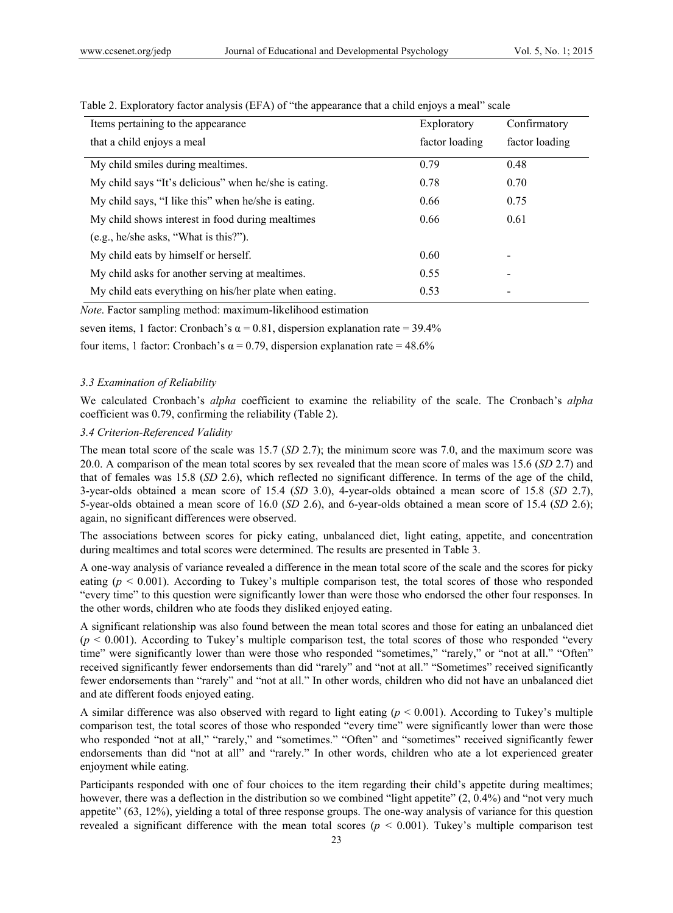| Items pertaining to the appearance                     | Exploratory    | Confirmatory   |  |
|--------------------------------------------------------|----------------|----------------|--|
| that a child enjoys a meal                             | factor loading | factor loading |  |
| My child smiles during mealtimes.                      | 0.79           | 0.48           |  |
| My child says "It's delicious" when he/she is eating.  | 0.78           | 0.70           |  |
| My child says, "I like this" when he/she is eating.    | 0.66           | 0.75           |  |
| My child shows interest in food during mealtimes       | 0.66           | 0.61           |  |
| (e.g., he/she asks, "What is this?").                  |                |                |  |
| My child eats by himself or herself.                   | 0.60           |                |  |
| My child asks for another serving at mealtimes.        | 0.55           |                |  |
| My child eats everything on his/her plate when eating. | 0.53           |                |  |
|                                                        |                |                |  |

Table 2. Exploratory factor analysis (EFA) of "the appearance that a child enjoys a meal" scale

*Note*. Factor sampling method: maximum-likelihood estimation

seven items, 1 factor: Cronbach's  $\alpha$  = 0.81, dispersion explanation rate = 39.4%

four items, 1 factor: Cronbach's α = 0.79, dispersion explanation rate = 48.6%

#### *3.3 Examination of Reliability*

We calculated Cronbach's *alpha* coefficient to examine the reliability of the scale. The Cronbach's *alpha* coefficient was 0.79, confirming the reliability (Table 2).

#### *3.4 Criterion-Referenced Validity*

The mean total score of the scale was 15.7 (*SD* 2.7); the minimum score was 7.0, and the maximum score was 20.0. A comparison of the mean total scores by sex revealed that the mean score of males was 15.6 (*SD* 2.7) and that of females was 15.8 (*SD* 2.6), which reflected no significant difference. In terms of the age of the child, 3-year-olds obtained a mean score of 15.4 (*SD* 3.0), 4-year-olds obtained a mean score of 15.8 (*SD* 2.7), 5-year-olds obtained a mean score of 16.0 (*SD* 2.6), and 6-year-olds obtained a mean score of 15.4 (*SD* 2.6); again, no significant differences were observed.

The associations between scores for picky eating, unbalanced diet, light eating, appetite, and concentration during mealtimes and total scores were determined. The results are presented in Table 3.

A one-way analysis of variance revealed a difference in the mean total score of the scale and the scores for picky eating ( $p < 0.001$ ). According to Tukey's multiple comparison test, the total scores of those who responded "every time" to this question were significantly lower than were those who endorsed the other four responses. In the other words, children who ate foods they disliked enjoyed eating.

A significant relationship was also found between the mean total scores and those for eating an unbalanced diet  $(p < 0.001)$ . According to Tukey's multiple comparison test, the total scores of those who responded "every" time" were significantly lower than were those who responded "sometimes," "rarely," or "not at all." "Often" received significantly fewer endorsements than did "rarely" and "not at all." "Sometimes" received significantly fewer endorsements than "rarely" and "not at all." In other words, children who did not have an unbalanced diet and ate different foods enjoyed eating.

A similar difference was also observed with regard to light eating  $(p < 0.001)$ . According to Tukey's multiple comparison test, the total scores of those who responded "every time" were significantly lower than were those who responded "not at all," "rarely," and "sometimes." "Often" and "sometimes" received significantly fewer endorsements than did "not at all" and "rarely." In other words, children who ate a lot experienced greater enjoyment while eating.

Participants responded with one of four choices to the item regarding their child's appetite during mealtimes; however, there was a deflection in the distribution so we combined "light appetite"  $(2, 0.4\%)$  and "not very much appetite" (63, 12%), yielding a total of three response groups. The one-way analysis of variance for this question revealed a significant difference with the mean total scores ( $p < 0.001$ ). Tukey's multiple comparison test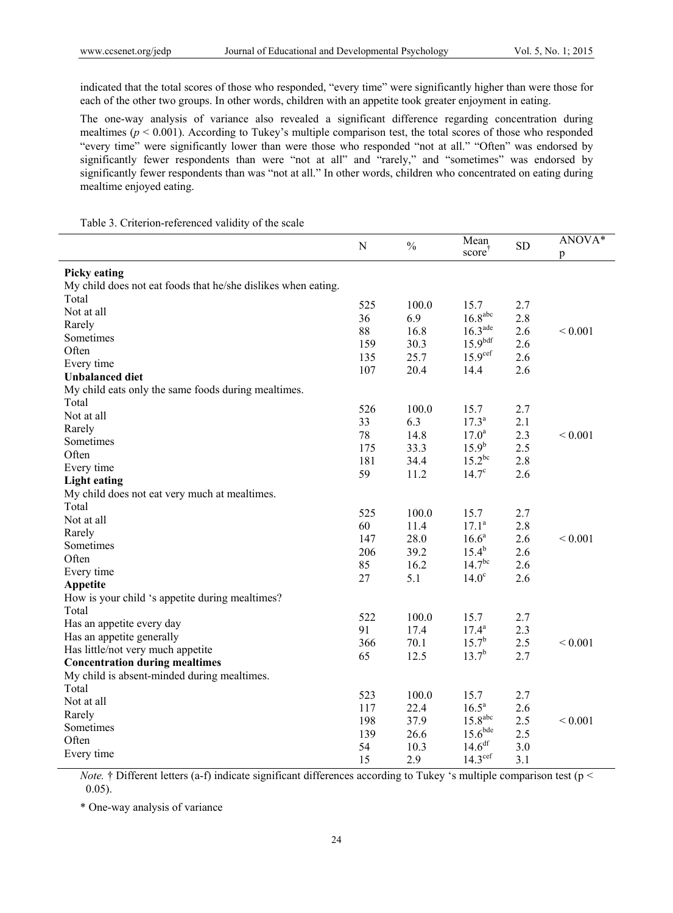indicated that the total scores of those who responded, "every time" were significantly higher than were those for each of the other two groups. In other words, children with an appetite took greater enjoyment in eating.

The one-way analysis of variance also revealed a significant difference regarding concentration during mealtimes  $(p < 0.001)$ . According to Tukey's multiple comparison test, the total scores of those who responded "every time" were significantly lower than were those who responded "not at all." "Often" was endorsed by significantly fewer respondents than were "not at all" and "rarely," and "sometimes" was endorsed by significantly fewer respondents than was "not at all." In other words, children who concentrated on eating during mealtime enjoyed eating.

|                                                               | N   | $\frac{0}{0}$ | Mean<br>score         | <b>SD</b>  | ANOVA*<br>p |
|---------------------------------------------------------------|-----|---------------|-----------------------|------------|-------------|
| <b>Picky eating</b>                                           |     |               |                       |            |             |
| My child does not eat foods that he/she dislikes when eating. |     |               |                       |            |             |
| Total                                                         |     |               |                       |            |             |
| Not at all                                                    | 525 | 100.0         | 15.7                  | 2.7        |             |
| Rarely                                                        | 36  | 6.9           | 16.8 <sup>abc</sup>   | 2.8        |             |
| Sometimes                                                     | 88  | 16.8          | $16.3$ <sup>ade</sup> | 2.6        | ${}< 0.001$ |
| Often                                                         | 159 | 30.3          | 15.9 <sup>bdf</sup>   | 2.6        |             |
| Every time                                                    | 135 | 25.7          | 15.9 <sup>cef</sup>   | 2.6        |             |
| <b>Unbalanced diet</b>                                        | 107 | 20.4          | 14.4                  | 2.6        |             |
| My child eats only the same foods during mealtimes.           |     |               |                       |            |             |
| Total                                                         | 526 | 100.0         | 15.7                  | 2.7        |             |
| Not at all                                                    | 33  | 6.3           | $17.3^{\rm a}$        | 2.1        |             |
| Rarely                                                        | 78  | 14.8          | $17.0^{\rm a}$        | 2.3        | ${}< 0.001$ |
| Sometimes                                                     | 175 | 33.3          | $15.9^{b}$            | 2.5        |             |
| Often                                                         | 181 | 34.4          | $15.2^{bc}$           | 2.8        |             |
| Every time                                                    | 59  |               | $14.7^\circ$          | 2.6        |             |
| <b>Light eating</b>                                           |     | 11.2          |                       |            |             |
| My child does not eat very much at mealtimes.                 |     |               |                       |            |             |
| Total                                                         | 525 | 100.0         | 15.7                  | 2.7        |             |
| Not at all                                                    | 60  | 11.4          | $17.1^a$              | 2.8        |             |
| Rarely                                                        | 147 | 28.0          | $16.6^a$              | 2.6        | ${}< 0.001$ |
| Sometimes                                                     | 206 | 39.2          | $15.4^{b}$            | 2.6        |             |
| Often                                                         | 85  | 16.2          | 14.7 <sup>bc</sup>    |            |             |
| Every time                                                    | 27  | 5.1           | 14.0 <sup>c</sup>     | 2.6<br>2.6 |             |
| Appetite                                                      |     |               |                       |            |             |
| How is your child 's appetite during mealtimes?               |     |               |                       |            |             |
| Total                                                         | 522 | 100.0         | 15.7                  | 2.7        |             |
| Has an appetite every day                                     | 91  | 17.4          | $17.4^a$              | 2.3        |             |
| Has an appetite generally                                     | 366 | 70.1          | $15.7^{b}$            | 2.5        | ${}< 0.001$ |
| Has little/not very much appetite                             | 65  | 12.5          | $13.7^{b}$            | 2.7        |             |
| <b>Concentration during mealtimes</b>                         |     |               |                       |            |             |
| My child is absent-minded during mealtimes.                   |     |               |                       |            |             |
| Total                                                         | 523 | 100.0         | 15.7                  | 2.7        |             |
| Not at all                                                    | 117 | 22.4          | 16.5 <sup>a</sup>     | 2.6        |             |
| Rarely                                                        |     | 37.9          | 15.8 <sup>abc</sup>   |            |             |
| Sometimes                                                     | 198 |               | 15.6 <sup>bde</sup>   | 2.5        | ${}< 0.001$ |
| Often                                                         | 139 | 26.6          | 14.6 <sup>df</sup>    | 2.5        |             |
| Every time                                                    | 54  | 10.3          | 14.3 <sup>cef</sup>   | 3.0        |             |
|                                                               | 15  | 2.9           |                       | 3.1        |             |

Table 3. Criterion-referenced validity of the scale

*Note.* † Different letters (a-f) indicate significant differences according to Tukey 's multiple comparison test (p < 0.05).

\* One-way analysis of variance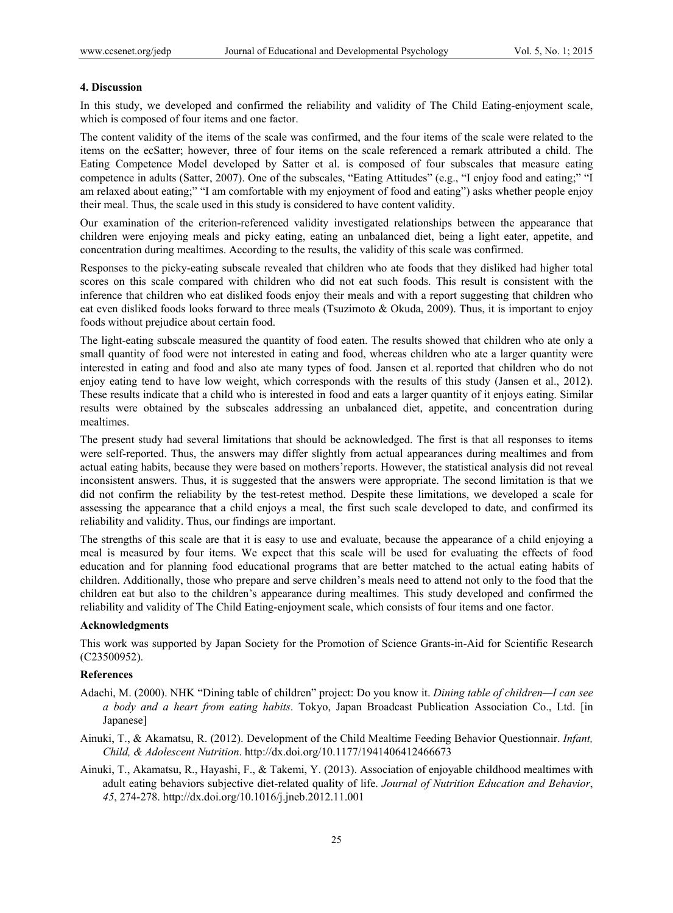#### **4. Discussion**

In this study, we developed and confirmed the reliability and validity of The Child Eating-enjoyment scale, which is composed of four items and one factor.

The content validity of the items of the scale was confirmed, and the four items of the scale were related to the items on the ecSatter; however, three of four items on the scale referenced a remark attributed a child. The Eating Competence Model developed by Satter et al. is composed of four subscales that measure eating competence in adults (Satter, 2007). One of the subscales, "Eating Attitudes" (e.g., "I enjoy food and eating;" "I am relaxed about eating;" "I am comfortable with my enjoyment of food and eating") asks whether people enjoy their meal. Thus, the scale used in this study is considered to have content validity.

Our examination of the criterion-referenced validity investigated relationships between the appearance that children were enjoying meals and picky eating, eating an unbalanced diet, being a light eater, appetite, and concentration during mealtimes. According to the results, the validity of this scale was confirmed.

Responses to the picky-eating subscale revealed that children who ate foods that they disliked had higher total scores on this scale compared with children who did not eat such foods. This result is consistent with the inference that children who eat disliked foods enjoy their meals and with a report suggesting that children who eat even disliked foods looks forward to three meals (Tsuzimoto & Okuda, 2009). Thus, it is important to enjoy foods without prejudice about certain food.

The light-eating subscale measured the quantity of food eaten. The results showed that children who ate only a small quantity of food were not interested in eating and food, whereas children who ate a larger quantity were interested in eating and food and also ate many types of food. Jansen et al. reported that children who do not enjoy eating tend to have low weight, which corresponds with the results of this study (Jansen et al., 2012). These results indicate that a child who is interested in food and eats a larger quantity of it enjoys eating. Similar results were obtained by the subscales addressing an unbalanced diet, appetite, and concentration during mealtimes.

The present study had several limitations that should be acknowledged. The first is that all responses to items were self-reported. Thus, the answers may differ slightly from actual appearances during mealtimes and from actual eating habits, because they were based on mothers'reports. However, the statistical analysis did not reveal inconsistent answers. Thus, it is suggested that the answers were appropriate. The second limitation is that we did not confirm the reliability by the test-retest method. Despite these limitations, we developed a scale for assessing the appearance that a child enjoys a meal, the first such scale developed to date, and confirmed its reliability and validity. Thus, our findings are important.

The strengths of this scale are that it is easy to use and evaluate, because the appearance of a child enjoying a meal is measured by four items. We expect that this scale will be used for evaluating the effects of food education and for planning food educational programs that are better matched to the actual eating habits of children. Additionally, those who prepare and serve children's meals need to attend not only to the food that the children eat but also to the children's appearance during mealtimes. This study developed and confirmed the reliability and validity of The Child Eating-enjoyment scale, which consists of four items and one factor.

#### **Acknowledgments**

This work was supported by Japan Society for the Promotion of Science Grants-in-Aid for Scientific Research (C23500952).

#### **References**

- Adachi, M. (2000). NHK "Dining table of children" project: Do you know it. *Dining table of children—I can see a body and a heart from eating habits*. Tokyo, Japan Broadcast Publication Association Co., Ltd. [in Japanese]
- Ainuki, T., & Akamatsu, R. (2012). Development of the Child Mealtime Feeding Behavior Questionnair. *Infant, Child, & Adolescent Nutrition*. http://dx.doi.org/10.1177/1941406412466673
- Ainuki, T., Akamatsu, R., Hayashi, F., & Takemi, Y. (2013). Association of enjoyable childhood mealtimes with adult eating behaviors subjective diet-related quality of life. *Journal of Nutrition Education and Behavior*, *45*, 274-278. http://dx.doi.org/10.1016/j.jneb.2012.11.001